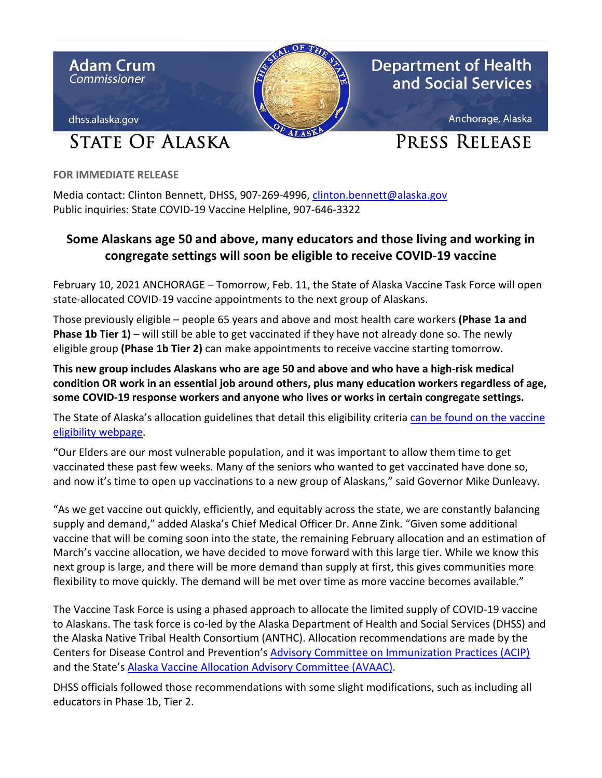

**FOR IMMEDIATE RELEASE**

Media contact: Clinton Bennett, DHSS, 907-269-4996, [clinton.bennett@alaska.gov](mailto:clinton.bennett@alaska.gov) Public inquiries: State COVID-19 Vaccine Helpline, 907-646-3322

## **Some Alaskans age 50 and above, many educators and those living and working in congregate settings will soon be eligible to receive COVID-19 vaccine**

February 10, 2021 ANCHORAGE – Tomorrow, Feb. 11, the State of Alaska Vaccine Task Force will open state-allocated COVID-19 vaccine appointments to the next group of Alaskans.

Those previously eligible – people 65 years and above and most health care workers **(Phase 1a and Phase 1b Tier 1)** – will still be able to get vaccinated if they have not already done so. The newly eligible group **(Phase 1b Tier 2)** can make appointments to receive vaccine starting tomorrow.

**This new group includes Alaskans who are age 50 and above and who have a high-risk medical condition OR work in an essential job around others, plus many education workers regardless of age, some COVID-19 response workers and anyone who lives or works in certain congregate settings.** 

The State of Alaska's allocation guidelines that detail this eligibility criteria [can be found on the vaccine](http://dhss.alaska.gov/dph/Epi/id/Pages/COVID-19/VaccineAvailability.aspx)  [eligibility webpage.](http://dhss.alaska.gov/dph/Epi/id/Pages/COVID-19/VaccineAvailability.aspx)

"Our Elders are our most vulnerable population, and it was important to allow them time to get vaccinated these past few weeks. Many of the seniors who wanted to get vaccinated have done so, and now it's time to open up vaccinations to a new group of Alaskans," said Governor Mike Dunleavy.

"As we get vaccine out quickly, efficiently, and equitably across the state, we are constantly balancing supply and demand," added Alaska's Chief Medical Officer Dr. Anne Zink. "Given some additional vaccine that will be coming soon into the state, the remaining February allocation and an estimation of March's vaccine allocation, we have decided to move forward with this large tier. While we know this next group is large, and there will be more demand than supply at first, this gives communities more flexibility to move quickly. The demand will be met over time as more vaccine becomes available."

The Vaccine Task Force is using a phased approach to allocate the limited supply of COVID-19 vaccine to Alaskans. The task force is co-led by the Alaska Department of Health and Social Services (DHSS) and the Alaska Native Tribal Health Consortium (ANTHC). Allocation recommendations are made by the Centers for Disease Control and Prevention's [Advisory Committee on Immunization Practices \(ACIP\)](https://www.cdc.gov/vaccines/acip/index.html) and the State's [Alaska Vaccine Allocation Advisory Committee \(AVAAC\).](http://dhss.alaska.gov/dph/Epi/id/SiteAssets/Pages/HumanCoV/AlaskaAllocationCommitteeMembers.pdf)

DHSS officials followed those recommendations with some slight modifications, such as including all educators in Phase 1b, Tier 2.